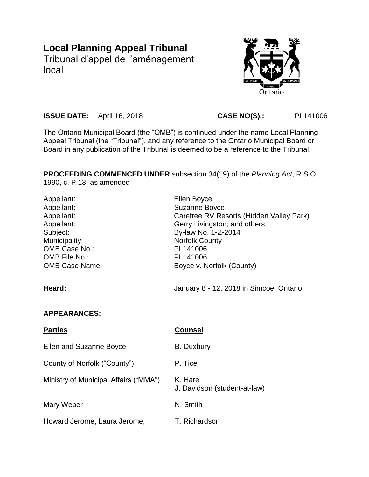# **Local Planning Appeal Tribunal**

Tribunal d'appel de l'aménagement local



**ISSUE DATE:** April 16, 2018 **CASE NO(S).:** PL141006

The Ontario Municipal Board (the "OMB") is continued under the name Local Planning Appeal Tribunal (the "Tribunal"), and any reference to the Ontario Municipal Board or Board in any publication of the Tribunal is deemed to be a reference to the Tribunal.

**PROCEEDING COMMENCED UNDER** subsection 34(19) of the *Planning Act*, R.S.O. 1990, c. P.13, as amended

| Appellant:<br>Appellant:<br>Appellant:<br>Appellant:<br>Subject:<br>Municipality:<br>OMB Case No.:<br>OMB File No.:<br><b>OMB Case Name:</b> | Ellen Boyce<br><b>Suzanne Boyce</b><br>Carefree RV Resorts (Hidden Valley Park)<br>Gerry Livingston; and others<br>By-law No. 1-Z-2014<br><b>Norfolk County</b><br>PL141006<br>PL141006<br>Boyce v. Norfolk (County) |
|----------------------------------------------------------------------------------------------------------------------------------------------|----------------------------------------------------------------------------------------------------------------------------------------------------------------------------------------------------------------------|
| Heard:                                                                                                                                       | January 8 - 12, 2018 in Simcoe, Ontario                                                                                                                                                                              |
| <b>APPEARANCES:</b>                                                                                                                          |                                                                                                                                                                                                                      |
| <b>Parties</b>                                                                                                                               | Counsel                                                                                                                                                                                                              |

| <b>Ellen and Suzanne Boyce</b>        | B. Duxbury                              |
|---------------------------------------|-----------------------------------------|
| County of Norfolk ("County")          | P. Tice                                 |
| Ministry of Municipal Affairs ("MMA") | K. Hare<br>J. Davidson (student-at-law) |
| Mary Weber                            | N. Smith                                |
| Howard Jerome, Laura Jerome,          | T. Richardson                           |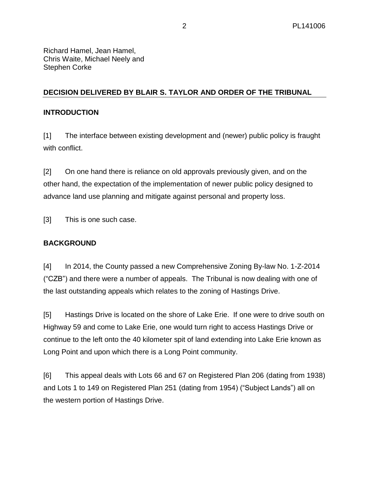Richard Hamel, Jean Hamel, Chris Waite, Michael Neely and Stephen Corke

# **DECISION DELIVERED BY BLAIR S. TAYLOR AND ORDER OF THE TRIBUNAL**

## **INTRODUCTION**

[1] The interface between existing development and (newer) public policy is fraught with conflict.

[2] On one hand there is reliance on old approvals previously given, and on the other hand, the expectation of the implementation of newer public policy designed to advance land use planning and mitigate against personal and property loss.

[3] This is one such case.

# **BACKGROUND**

[4] In 2014, the County passed a new Comprehensive Zoning By-law No. 1-Z-2014 ("CZB") and there were a number of appeals. The Tribunal is now dealing with one of the last outstanding appeals which relates to the zoning of Hastings Drive.

[5] Hastings Drive is located on the shore of Lake Erie. If one were to drive south on Highway 59 and come to Lake Erie, one would turn right to access Hastings Drive or continue to the left onto the 40 kilometer spit of land extending into Lake Erie known as Long Point and upon which there is a Long Point community.

[6] This appeal deals with Lots 66 and 67 on Registered Plan 206 (dating from 1938) and Lots 1 to 149 on Registered Plan 251 (dating from 1954) ("Subject Lands") all on the western portion of Hastings Drive.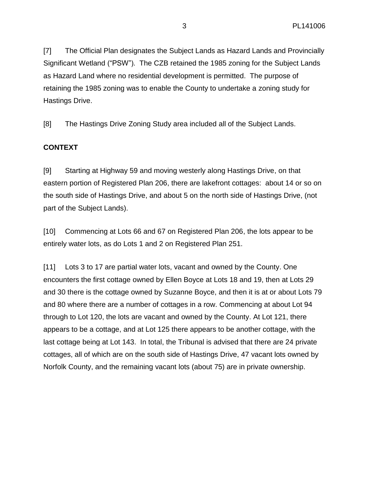[7] The Official Plan designates the Subject Lands as Hazard Lands and Provincially Significant Wetland ("PSW"). The CZB retained the 1985 zoning for the Subject Lands as Hazard Land where no residential development is permitted. The purpose of retaining the 1985 zoning was to enable the County to undertake a zoning study for Hastings Drive.

[8] The Hastings Drive Zoning Study area included all of the Subject Lands.

## **CONTEXT**

[9] Starting at Highway 59 and moving westerly along Hastings Drive, on that eastern portion of Registered Plan 206, there are lakefront cottages: about 14 or so on the south side of Hastings Drive, and about 5 on the north side of Hastings Drive, (not part of the Subject Lands).

[10] Commencing at Lots 66 and 67 on Registered Plan 206, the lots appear to be entirely water lots, as do Lots 1 and 2 on Registered Plan 251.

[11] Lots 3 to 17 are partial water lots, vacant and owned by the County. One encounters the first cottage owned by Ellen Boyce at Lots 18 and 19, then at Lots 29 and 30 there is the cottage owned by Suzanne Boyce, and then it is at or about Lots 79 and 80 where there are a number of cottages in a row. Commencing at about Lot 94 through to Lot 120, the lots are vacant and owned by the County. At Lot 121, there appears to be a cottage, and at Lot 125 there appears to be another cottage, with the last cottage being at Lot 143. In total, the Tribunal is advised that there are 24 private cottages, all of which are on the south side of Hastings Drive, 47 vacant lots owned by Norfolk County, and the remaining vacant lots (about 75) are in private ownership.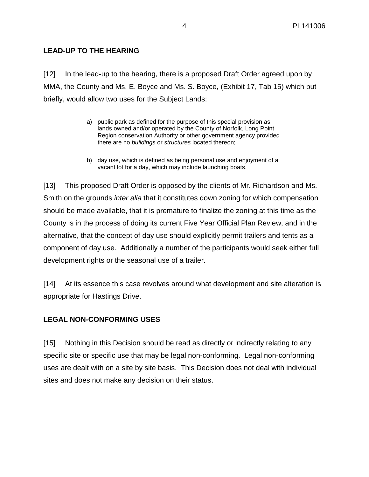# **LEAD-UP TO THE HEARING**

[12] In the lead-up to the hearing, there is a proposed Draft Order agreed upon by MMA, the County and Ms. E. Boyce and Ms. S. Boyce, (Exhibit 17, Tab 15) which put briefly, would allow two uses for the Subject Lands:

- a) public park as defined for the purpose of this special provision as lands owned and/or operated by the County of Norfolk, Long Point Region conservation Authority or other government agency provided there are no *buildings* or *structures* located thereon;
- b) day use, which is defined as being personal use and enjoyment of a vacant lot for a day, which may include launching boats.

[13] This proposed Draft Order is opposed by the clients of Mr. Richardson and Ms. Smith on the grounds *inter alia* that it constitutes down zoning for which compensation should be made available, that it is premature to finalize the zoning at this time as the County is in the process of doing its current Five Year Official Plan Review, and in the alternative, that the concept of day use should explicitly permit trailers and tents as a component of day use. Additionally a number of the participants would seek either full development rights or the seasonal use of a trailer.

[14] At its essence this case revolves around what development and site alteration is appropriate for Hastings Drive.

## **LEGAL NON-CONFORMING USES**

[15] Nothing in this Decision should be read as directly or indirectly relating to any specific site or specific use that may be legal non-conforming. Legal non-conforming uses are dealt with on a site by site basis. This Decision does not deal with individual sites and does not make any decision on their status.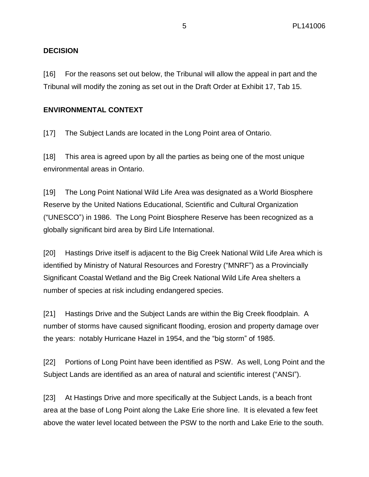# **DECISION**

[16] For the reasons set out below, the Tribunal will allow the appeal in part and the Tribunal will modify the zoning as set out in the Draft Order at Exhibit 17, Tab 15.

## **ENVIRONMENTAL CONTEXT**

[17] The Subject Lands are located in the Long Point area of Ontario.

[18] This area is agreed upon by all the parties as being one of the most unique environmental areas in Ontario.

[19] The Long Point National Wild Life Area was designated as a World Biosphere Reserve by the United Nations Educational, Scientific and Cultural Organization ("UNESCO") in 1986. The Long Point Biosphere Reserve has been recognized as a globally significant bird area by Bird Life International.

[20] Hastings Drive itself is adjacent to the Big Creek National Wild Life Area which is identified by Ministry of Natural Resources and Forestry ("MNRF") as a Provincially Significant Coastal Wetland and the Big Creek National Wild Life Area shelters a number of species at risk including endangered species.

[21] Hastings Drive and the Subject Lands are within the Big Creek floodplain. A number of storms have caused significant flooding, erosion and property damage over the years: notably Hurricane Hazel in 1954, and the "big storm" of 1985.

[22] Portions of Long Point have been identified as PSW. As well, Long Point and the Subject Lands are identified as an area of natural and scientific interest ("ANSI").

[23] At Hastings Drive and more specifically at the Subject Lands, is a beach front area at the base of Long Point along the Lake Erie shore line. It is elevated a few feet above the water level located between the PSW to the north and Lake Erie to the south.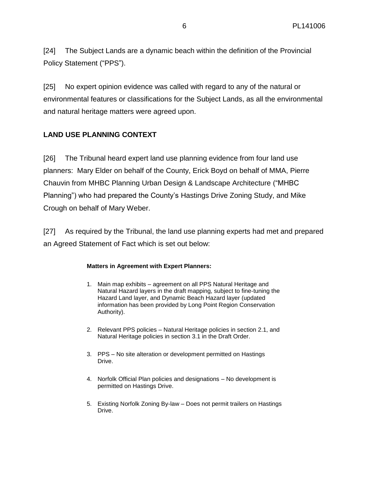[24] The Subject Lands are a dynamic beach within the definition of the Provincial Policy Statement ("PPS").

[25] No expert opinion evidence was called with regard to any of the natural or environmental features or classifications for the Subject Lands, as all the environmental and natural heritage matters were agreed upon.

# **LAND USE PLANNING CONTEXT**

[26] The Tribunal heard expert land use planning evidence from four land use planners: Mary Elder on behalf of the County, Erick Boyd on behalf of MMA, Pierre Chauvin from MHBC Planning Urban Design & Landscape Architecture ("MHBC Planning") who had prepared the County's Hastings Drive Zoning Study, and Mike Crough on behalf of Mary Weber.

[27] As required by the Tribunal, the land use planning experts had met and prepared an Agreed Statement of Fact which is set out below:

#### **Matters in Agreement with Expert Planners:**

- 1. Main map exhibits agreement on all PPS Natural Heritage and Natural Hazard layers in the draft mapping, subject to fine-tuning the Hazard Land layer, and Dynamic Beach Hazard layer (updated information has been provided by Long Point Region Conservation Authority).
- 2. Relevant PPS policies Natural Heritage policies in section 2.1, and Natural Heritage policies in section 3.1 in the Draft Order.
- 3. PPS No site alteration or development permitted on Hastings Drive.
- 4. Norfolk Official Plan policies and designations No development is permitted on Hastings Drive.
- 5. Existing Norfolk Zoning By-law Does not permit trailers on Hastings Drive.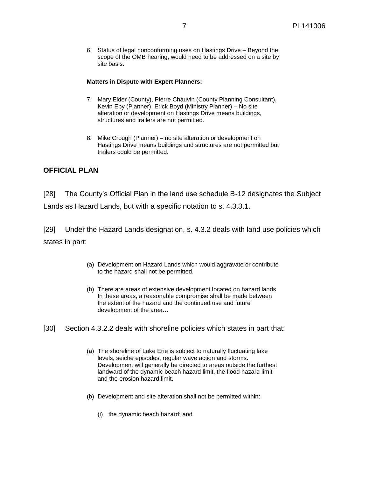6. Status of legal nonconforming uses on Hastings Drive – Beyond the scope of the OMB hearing, would need to be addressed on a site by site basis.

#### **Matters in Dispute with Expert Planners:**

- 7. Mary Elder (County), Pierre Chauvin (County Planning Consultant), Kevin Eby (Planner), Erick Boyd (Ministry Planner) – No site alteration or development on Hastings Drive means buildings, structures and trailers are not permitted.
- 8. Mike Crough (Planner) no site alteration or development on Hastings Drive means buildings and structures are not permitted but trailers could be permitted.

#### **OFFICIAL PLAN**

[28] The County's Official Plan in the land use schedule B-12 designates the Subject Lands as Hazard Lands, but with a specific notation to s. 4.3.3.1.

[29] Under the Hazard Lands designation, s. 4.3.2 deals with land use policies which states in part:

- (a) Development on Hazard Lands which would aggravate or contribute to the hazard shall not be permitted.
- (b) There are areas of extensive development located on hazard lands. In these areas, a reasonable compromise shall be made between the extent of the hazard and the continued use and future development of the area…
- [30] Section 4.3.2.2 deals with shoreline policies which states in part that:
	- (a) The shoreline of Lake Erie is subject to naturally fluctuating lake levels, seiche episodes, regular wave action and storms. Development will generally be directed to areas outside the furthest landward of the dynamic beach hazard limit, the flood hazard limit and the erosion hazard limit.
	- (b) Development and site alteration shall not be permitted within:
		- (i) the dynamic beach hazard; and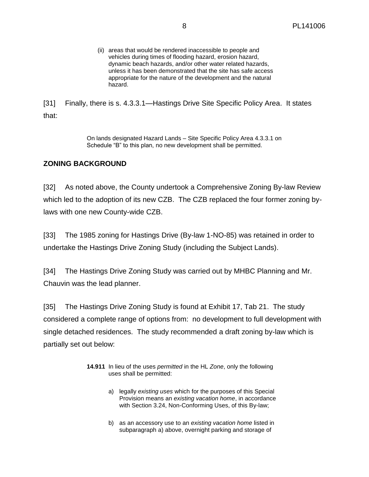(ii) areas that would be rendered inaccessible to people and vehicles during times of flooding hazard, erosion hazard, dynamic beach hazards, and/or other water related hazards, unless it has been demonstrated that the site has safe access appropriate for the nature of the development and the natural hazard.

[31] Finally, there is s. 4.3.3.1—Hastings Drive Site Specific Policy Area. It states that:

> On lands designated Hazard Lands – Site Specific Policy Area 4.3.3.1 on Schedule "B" to this plan, no new development shall be permitted.

## **ZONING BACKGROUND**

[32] As noted above, the County undertook a Comprehensive Zoning By-law Review which led to the adoption of its new CZB. The CZB replaced the four former zoning bylaws with one new County-wide CZB.

[33] The 1985 zoning for Hastings Drive (By-law 1-NO-85) was retained in order to undertake the Hastings Drive Zoning Study (including the Subject Lands).

[34] The Hastings Drive Zoning Study was carried out by MHBC Planning and Mr. Chauvin was the lead planner.

[35] The Hastings Drive Zoning Study is found at Exhibit 17, Tab 21. The study considered a complete range of options from: no development to full development with single detached residences. The study recommended a draft zoning by-law which is partially set out below:

- **14.911** In lieu of the uses *permitted* in the HL *Zone*, only the following uses shall be permitted:
	- a) legally *existing uses* which for the purposes of this Special Provision means an *existing vacation home*, in accordance with Section 3.24, Non-Conforming Uses, of this By-law;
	- b) as an accessory use to an *existing vacation home* listed in subparagraph a) above, overnight parking and storage of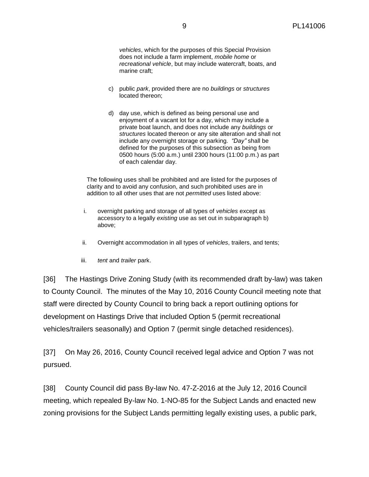*vehicles*, which for the purposes of this Special Provision does not include a farm implement, *mobile home* or *recreational vehicle*, but may include watercraft, boats, and marine craft;

- c) public *park*, provided there are no *buildings* or *structures* located thereon;
- d) day use, which is defined as being personal use and enjoyment of a vacant lot for a day, which may include a private boat launch, and does not include any *buildings* or *structures* located thereon or any site alteration and shall not include any overnight storage or parking. *"Day"* shall be defined for the purposes of this subsection as being from 0500 hours (5:00 a.m.) until 2300 hours (11:00 p.m.) as part of each calendar day.

The following uses shall be prohibited and are listed for the purposes of clarity and to avoid any confusion, and such prohibited uses are in addition to all other uses that are not *permitted* uses listed above:

- i. overnight parking and storage of all types of *vehicles* except as accessory to a legally *existing* use as set out in subparagraph b) above;
- ii. Overnight accommodation in all types of *vehicles*, trailers, and tents;
- iii. *tent* and *trailer* park.

[36] The Hastings Drive Zoning Study (with its recommended draft by-law) was taken to County Council. The minutes of the May 10, 2016 County Council meeting note that staff were directed by County Council to bring back a report outlining options for development on Hastings Drive that included Option 5 (permit recreational vehicles/trailers seasonally) and Option 7 (permit single detached residences).

[37] On May 26, 2016, County Council received legal advice and Option 7 was not pursued.

[38] County Council did pass By-law No. 47-Z-2016 at the July 12, 2016 Council meeting, which repealed By-law No. 1-NO-85 for the Subject Lands and enacted new zoning provisions for the Subject Lands permitting legally existing uses, a public park,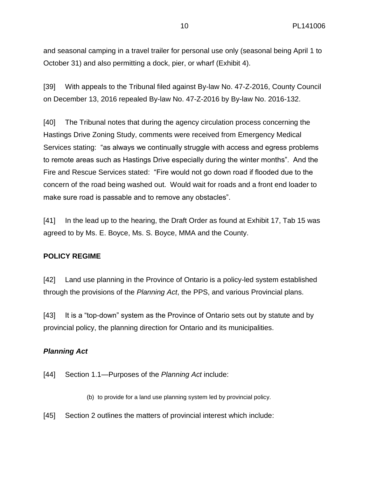and seasonal camping in a travel trailer for personal use only (seasonal being April 1 to October 31) and also permitting a dock, pier, or wharf (Exhibit 4).

[39] With appeals to the Tribunal filed against By-law No. 47-Z-2016, County Council on December 13, 2016 repealed By-law No. 47-Z-2016 by By-law No. 2016-132.

[40] The Tribunal notes that during the agency circulation process concerning the Hastings Drive Zoning Study, comments were received from Emergency Medical Services stating: "as always we continually struggle with access and egress problems to remote areas such as Hastings Drive especially during the winter months". And the Fire and Rescue Services stated: "Fire would not go down road if flooded due to the concern of the road being washed out. Would wait for roads and a front end loader to make sure road is passable and to remove any obstacles".

[41] In the lead up to the hearing, the Draft Order as found at Exhibit 17, Tab 15 was agreed to by Ms. E. Boyce, Ms. S. Boyce, MMA and the County.

## **POLICY REGIME**

[42] Land use planning in the Province of Ontario is a policy-led system established through the provisions of the *Planning Act*, the PPS, and various Provincial plans.

[43] It is a "top-down" system as the Province of Ontario sets out by statute and by provincial policy, the planning direction for Ontario and its municipalities.

## *Planning Act*

[44] Section 1.1—Purposes of the *Planning Act* include:

(b) to provide for a land use planning system led by provincial policy.

[45] Section 2 outlines the matters of provincial interest which include: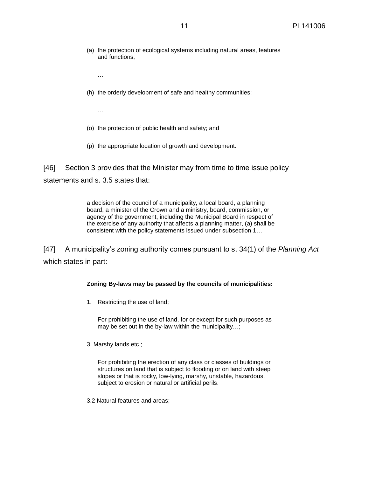- (a) the protection of ecological systems including natural areas, features and functions;
	- …
- (h) the orderly development of safe and healthy communities;

…

- (o) the protection of public health and safety; and
- (p) the appropriate location of growth and development.

[46] Section 3 provides that the Minister may from time to time issue policy statements and s. 3.5 states that:

> a decision of the council of a municipality, a local board, a planning board, a minister of the Crown and a ministry, board, commission, or agency of the government, including the Municipal Board in respect of the exercise of any authority that affects a planning matter, (a) shall be consistent with the policy statements issued under subsection 1…

[47] A municipality's zoning authority comes pursuant to s. 34(1) of the *Planning Act* which states in part:

#### **Zoning By-laws may be passed by the councils of municipalities:**

1. Restricting the use of land;

For prohibiting the use of land, for or except for such purposes as may be set out in the by-law within the municipality…;

3. Marshy lands etc.;

For prohibiting the erection of any class or classes of buildings or structures on land that is subject to flooding or on land with steep slopes or that is rocky, low-lying, marshy, unstable, hazardous, subject to erosion or natural or artificial perils.

3.2 Natural features and areas;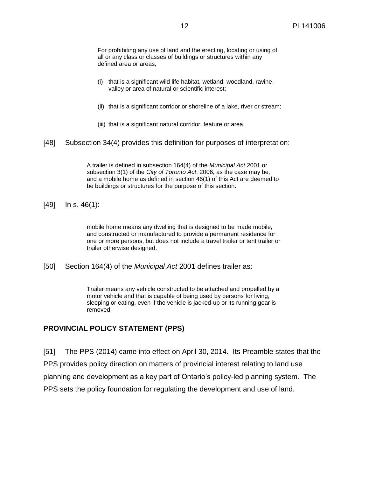For prohibiting any use of land and the erecting, locating or using of all or any class or classes of buildings or structures within any defined area or areas,

- (i) that is a significant wild life habitat, wetland, woodland, ravine, valley or area of natural or scientific interest;
- (ii) that is a significant corridor or shoreline of a lake, river or stream;
- (iii) that is a significant natural corridor, feature or area.
- [48] Subsection 34(4) provides this definition for purposes of interpretation:

A trailer is defined in subsection 164(4) of the *Municipal Act* 2001 or subsection 3(1) of the *City of Toronto Act*, 2006, as the case may be, and a mobile home as defined in section 46(1) of this Act are deemed to be buildings or structures for the purpose of this section.

[49] In s. 46(1):

mobile home means any dwelling that is designed to be made mobile, and constructed or manufactured to provide a permanent residence for one or more persons, but does not include a travel trailer or tent trailer or trailer otherwise designed.

[50] Section 164(4) of the *Municipal Act* 2001 defines trailer as:

Trailer means any vehicle constructed to be attached and propelled by a motor vehicle and that is capable of being used by persons for living, sleeping or eating, even if the vehicle is jacked-up or its running gear is removed.

#### **PROVINCIAL POLICY STATEMENT (PPS)**

[51] The PPS (2014) came into effect on April 30, 2014. Its Preamble states that the PPS provides policy direction on matters of provincial interest relating to land use planning and development as a key part of Ontario's policy-led planning system. The PPS sets the policy foundation for regulating the development and use of land.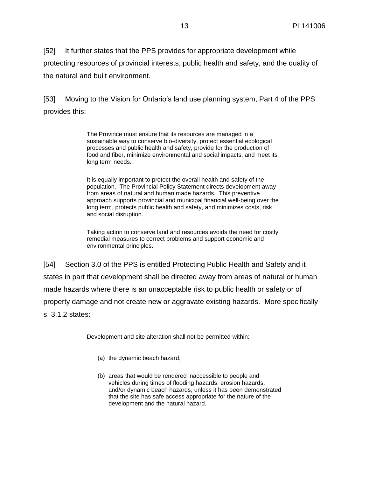[52] It further states that the PPS provides for appropriate development while protecting resources of provincial interests, public health and safety, and the quality of the natural and built environment.

[53] Moving to the Vision for Ontario's land use planning system, Part 4 of the PPS provides this:

> The Province must ensure that its resources are managed in a sustainable way to conserve bio-diversity, protect essential ecological processes and public health and safety, provide for the production of food and fiber, minimize environmental and social impacts, and meet its long term needs.

> It is equally important to protect the overall health and safety of the population. The Provincial Policy Statement directs development away from areas of natural and human made hazards. This preventive approach supports provincial and municipal financial well-being over the long term, protects public health and safety, and minimizes costs, risk and social disruption.

> Taking action to conserve land and resources avoids the need for costly remedial measures to correct problems and support economic and environmental principles.

[54] Section 3.0 of the PPS is entitled Protecting Public Health and Safety and it states in part that development shall be directed away from areas of natural or human made hazards where there is an unacceptable risk to public health or safety or of property damage and not create new or aggravate existing hazards. More specifically s. 3.1.2 states:

Development and site alteration shall not be permitted within:

- (a) the dynamic beach hazard;
- (b) areas that would be rendered inaccessible to people and vehicles during times of flooding hazards, erosion hazards, and/or dynamic beach hazards, unless it has been demonstrated that the site has safe access appropriate for the nature of the development and the natural hazard.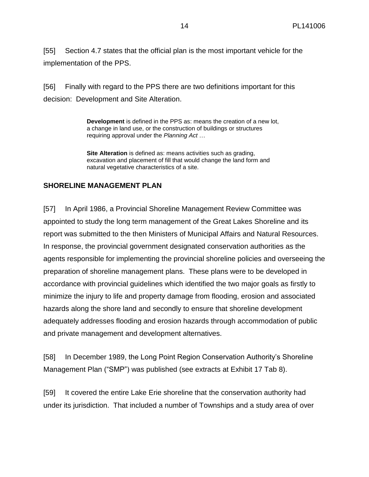[55] Section 4.7 states that the official plan is the most important vehicle for the implementation of the PPS.

[56] Finally with regard to the PPS there are two definitions important for this decision: Development and Site Alteration.

> **Development** is defined in the PPS as: means the creation of a new lot, a change in land use, or the construction of buildings or structures requiring approval under the *Planning Act* …

**Site Alteration** is defined as: means activities such as grading, excavation and placement of fill that would change the land form and natural vegetative characteristics of a site.

# **SHORELINE MANAGEMENT PLAN**

[57] In April 1986, a Provincial Shoreline Management Review Committee was appointed to study the long term management of the Great Lakes Shoreline and its report was submitted to the then Ministers of Municipal Affairs and Natural Resources. In response, the provincial government designated conservation authorities as the agents responsible for implementing the provincial shoreline policies and overseeing the preparation of shoreline management plans. These plans were to be developed in accordance with provincial guidelines which identified the two major goals as firstly to minimize the injury to life and property damage from flooding, erosion and associated hazards along the shore land and secondly to ensure that shoreline development adequately addresses flooding and erosion hazards through accommodation of public and private management and development alternatives.

[58] In December 1989, the Long Point Region Conservation Authority's Shoreline Management Plan ("SMP") was published (see extracts at Exhibit 17 Tab 8).

[59] It covered the entire Lake Erie shoreline that the conservation authority had under its jurisdiction. That included a number of Townships and a study area of over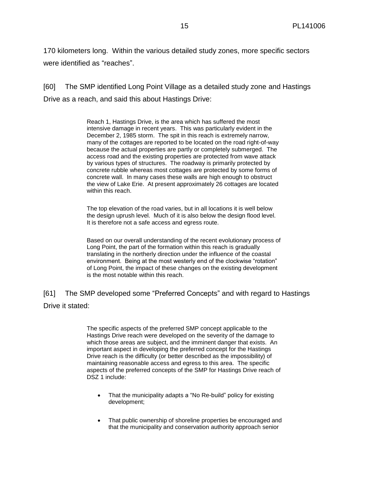170 kilometers long. Within the various detailed study zones, more specific sectors were identified as "reaches".

[60] The SMP identified Long Point Village as a detailed study zone and Hastings Drive as a reach, and said this about Hastings Drive:

> Reach 1, Hastings Drive, is the area which has suffered the most intensive damage in recent years. This was particularly evident in the December 2, 1985 storm. The spit in this reach is extremely narrow, many of the cottages are reported to be located on the road right-of-way because the actual properties are partly or completely submerged. The access road and the existing properties are protected from wave attack by various types of structures. The roadway is primarily protected by concrete rubble whereas most cottages are protected by some forms of concrete wall. In many cases these walls are high enough to obstruct the view of Lake Erie. At present approximately 26 cottages are located within this reach.

The top elevation of the road varies, but in all locations it is well below the design uprush level. Much of it is also below the design flood level. It is therefore not a safe access and egress route.

Based on our overall understanding of the recent evolutionary process of Long Point, the part of the formation within this reach is gradually translating in the northerly direction under the influence of the coastal environment. Being at the most westerly end of the clockwise "rotation" of Long Point, the impact of these changes on the existing development is the most notable within this reach.

[61] The SMP developed some "Preferred Concepts" and with regard to Hastings Drive it stated:

> The specific aspects of the preferred SMP concept applicable to the Hastings Drive reach were developed on the severity of the damage to which those areas are subject, and the imminent danger that exists. An important aspect in developing the preferred concept for the Hastings Drive reach is the difficulty (or better described as the impossibility) of maintaining reasonable access and egress to this area. The specific aspects of the preferred concepts of the SMP for Hastings Drive reach of DSZ 1 include:

- That the municipality adapts a "No Re-build" policy for existing development;
- That public ownership of shoreline properties be encouraged and that the municipality and conservation authority approach senior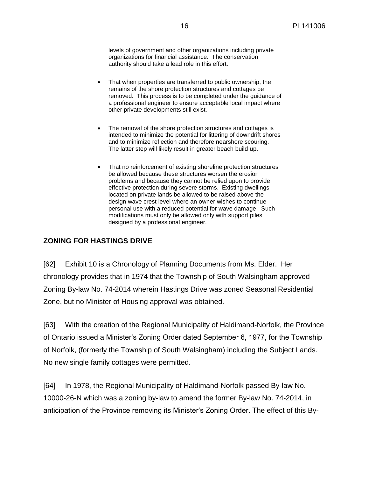levels of government and other organizations including private organizations for financial assistance. The conservation authority should take a lead role in this effort.

- That when properties are transferred to public ownership, the remains of the shore protection structures and cottages be removed. This process is to be completed under the guidance of a professional engineer to ensure acceptable local impact where other private developments still exist.
- The removal of the shore protection structures and cottages is intended to minimize the potential for littering of downdrift shores and to minimize reflection and therefore nearshore scouring. The latter step will likely result in greater beach build up.
- That no reinforcement of existing shoreline protection structures be allowed because these structures worsen the erosion problems and because they cannot be relied upon to provide effective protection during severe storms. Existing dwellings located on private lands be allowed to be raised above the design wave crest level where an owner wishes to continue personal use with a reduced potential for wave damage. Such modifications must only be allowed only with support piles designed by a professional engineer.

## **ZONING FOR HASTINGS DRIVE**

[62] Exhibit 10 is a Chronology of Planning Documents from Ms. Elder. Her chronology provides that in 1974 that the Township of South Walsingham approved Zoning By-law No. 74-2014 wherein Hastings Drive was zoned Seasonal Residential Zone, but no Minister of Housing approval was obtained.

[63] With the creation of the Regional Municipality of Haldimand-Norfolk, the Province of Ontario issued a Minister's Zoning Order dated September 6, 1977, for the Township of Norfolk, (formerly the Township of South Walsingham) including the Subject Lands. No new single family cottages were permitted.

[64] In 1978, the Regional Municipality of Haldimand-Norfolk passed By-law No. 10000-26-N which was a zoning by-law to amend the former By-law No. 74-2014, in anticipation of the Province removing its Minister's Zoning Order. The effect of this By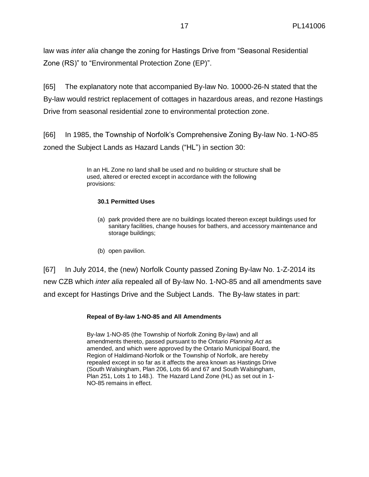law was *inter alia* change the zoning for Hastings Drive from "Seasonal Residential Zone (RS)" to "Environmental Protection Zone (EP)".

[65] The explanatory note that accompanied By-law No. 10000-26-N stated that the By-law would restrict replacement of cottages in hazardous areas, and rezone Hastings Drive from seasonal residential zone to environmental protection zone.

[66] In 1985, the Township of Norfolk's Comprehensive Zoning By-law No. 1-NO-85 zoned the Subject Lands as Hazard Lands ("HL") in section 30:

> In an HL Zone no land shall be used and no building or structure shall be used, altered or erected except in accordance with the following provisions:

#### **30.1 Permitted Uses**

- (a) park provided there are no buildings located thereon except buildings used for sanitary facilities, change houses for bathers, and accessory maintenance and storage buildings;
- (b) open pavilion.

[67] In July 2014, the (new) Norfolk County passed Zoning By-law No. 1-Z-2014 its new CZB which *inter alia* repealed all of By-law No. 1-NO-85 and all amendments save and except for Hastings Drive and the Subject Lands. The By-law states in part:

#### **Repeal of By-law 1-NO-85 and All Amendments**

By-law 1-NO-85 (the Township of Norfolk Zoning By-law) and all amendments thereto, passed pursuant to the Ontario *Planning Act* as amended, and which were approved by the Ontario Municipal Board, the Region of Haldimand-Norfolk or the Township of Norfolk, are hereby repealed except in so far as it affects the area known as Hastings Drive (South Walsingham, Plan 206, Lots 66 and 67 and South Walsingham, Plan 251, Lots 1 to 148.). The Hazard Land Zone (HL) as set out in 1- NO-85 remains in effect.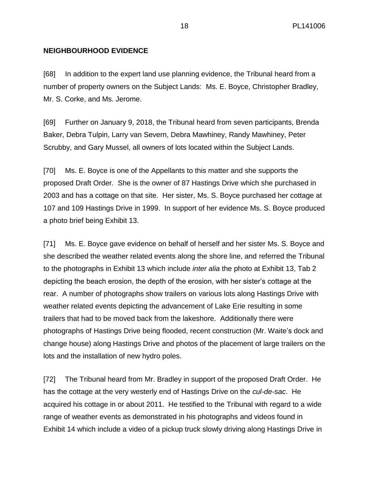# **NEIGHBOURHOOD EVIDENCE**

[68] In addition to the expert land use planning evidence, the Tribunal heard from a number of property owners on the Subject Lands: Ms. E. Boyce, Christopher Bradley, Mr. S. Corke, and Ms. Jerome.

[69] Further on January 9, 2018, the Tribunal heard from seven participants, Brenda Baker, Debra Tulpin, Larry van Severn, Debra Mawhiney, Randy Mawhiney, Peter Scrubby, and Gary Mussel, all owners of lots located within the Subject Lands.

[70] Ms. E. Boyce is one of the Appellants to this matter and she supports the proposed Draft Order. She is the owner of 87 Hastings Drive which she purchased in 2003 and has a cottage on that site. Her sister, Ms. S. Boyce purchased her cottage at 107 and 109 Hastings Drive in 1999. In support of her evidence Ms. S. Boyce produced a photo brief being Exhibit 13.

[71] Ms. E. Boyce gave evidence on behalf of herself and her sister Ms. S. Boyce and she described the weather related events along the shore line, and referred the Tribunal to the photographs in Exhibit 13 which include *inter alia* the photo at Exhibit 13, Tab 2 depicting the beach erosion, the depth of the erosion, with her sister's cottage at the rear. A number of photographs show trailers on various lots along Hastings Drive with weather related events depicting the advancement of Lake Erie resulting in some trailers that had to be moved back from the lakeshore. Additionally there were photographs of Hastings Drive being flooded, recent construction (Mr. Waite's dock and change house) along Hastings Drive and photos of the placement of large trailers on the lots and the installation of new hydro poles.

[72] The Tribunal heard from Mr. Bradley in support of the proposed Draft Order. He has the cottage at the very westerly end of Hastings Drive on the *cul-de-sac*. He acquired his cottage in or about 2011. He testified to the Tribunal with regard to a wide range of weather events as demonstrated in his photographs and videos found in Exhibit 14 which include a video of a pickup truck slowly driving along Hastings Drive in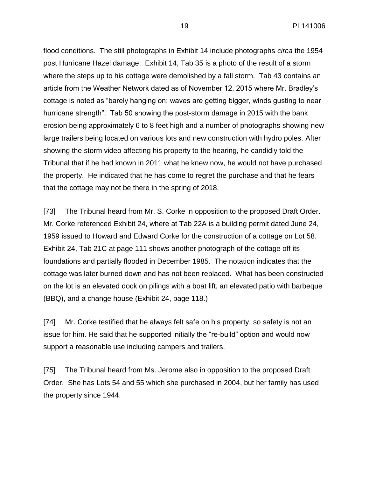flood conditions. The still photographs in Exhibit 14 include photographs *circa* the 1954 post Hurricane Hazel damage. Exhibit 14, Tab 35 is a photo of the result of a storm where the steps up to his cottage were demolished by a fall storm. Tab 43 contains an article from the Weather Network dated as of November 12, 2015 where Mr. Bradley's cottage is noted as "barely hanging on; waves are getting bigger, winds gusting to near hurricane strength". Tab 50 showing the post-storm damage in 2015 with the bank erosion being approximately 6 to 8 feet high and a number of photographs showing new large trailers being located on various lots and new construction with hydro poles. After showing the storm video affecting his property to the hearing, he candidly told the Tribunal that if he had known in 2011 what he knew now, he would not have purchased the property. He indicated that he has come to regret the purchase and that he fears that the cottage may not be there in the spring of 2018.

[73] The Tribunal heard from Mr. S. Corke in opposition to the proposed Draft Order. Mr. Corke referenced Exhibit 24, where at Tab 22A is a building permit dated June 24, 1959 issued to Howard and Edward Corke for the construction of a cottage on Lot 58. Exhibit 24, Tab 21C at page 111 shows another photograph of the cottage off its foundations and partially flooded in December 1985. The notation indicates that the cottage was later burned down and has not been replaced. What has been constructed on the lot is an elevated dock on pilings with a boat lift, an elevated patio with barbeque (BBQ), and a change house (Exhibit 24, page 118.)

[74] Mr. Corke testified that he always felt safe on his property, so safety is not an issue for him. He said that he supported initially the "re-build" option and would now support a reasonable use including campers and trailers.

[75] The Tribunal heard from Ms. Jerome also in opposition to the proposed Draft Order. She has Lots 54 and 55 which she purchased in 2004, but her family has used the property since 1944.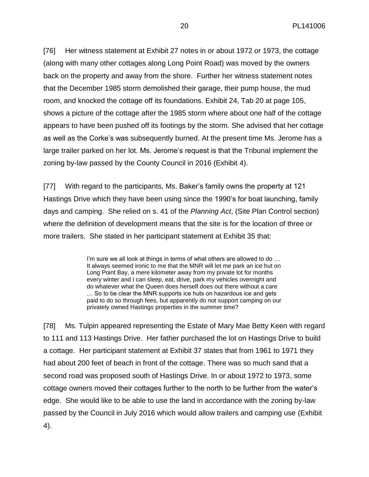[76] Her witness statement at Exhibit 27 notes in or about 1972 or 1973, the cottage (along with many other cottages along Long Point Road) was moved by the owners back on the property and away from the shore. Further her witness statement notes that the December 1985 storm demolished their garage, their pump house, the mud room, and knocked the cottage off its foundations. Exhibit 24, Tab 20 at page 105, shows a picture of the cottage after the 1985 storm where about one half of the cottage appears to have been pushed off its footings by the storm. She advised that her cottage as well as the Corke's was subsequently burned. At the present time Ms. Jerome has a large trailer parked on her lot. Ms. Jerome's request is that the Tribunal implement the zoning by-law passed by the County Council in 2016 (Exhibit 4).

[77] With regard to the participants, Ms. Baker's family owns the property at 121 Hastings Drive which they have been using since the 1990's for boat launching, family days and camping. She relied on s. 41 of the *Planning Act*, (Site Plan Control section) where the definition of development means that the site is for the location of three or more trailers. She stated in her participant statement at Exhibit 35 that:

> I'm sure we all look at things in terms of what others are allowed to do ... It always seemed ironic to me that the MNR will let me park an ice hut on Long Point Bay, a mere kilometer away from my private lot for months every winter and I can sleep, eat, drive, park my vehicles overnight and do whatever what the Queen does herself does out there without a care … So to be clear the MNR supports ice huts on hazardous ice and gets paid to do so through fees, but apparently do not support camping on our privately owned Hastings properties in the summer time?

[78] Ms. Tulpin appeared representing the Estate of Mary Mae Betty Keen with regard to 111 and 113 Hastings Drive. Her father purchased the lot on Hastings Drive to build a cottage. Her participant statement at Exhibit 37 states that from 1961 to 1971 they had about 200 feet of beach in front of the cottage. There was so much sand that a second road was proposed south of Hastings Drive. In or about 1972 to 1973, some cottage owners moved their cottages further to the north to be further from the water's edge. She would like to be able to use the land in accordance with the zoning by-law passed by the Council in July 2016 which would allow trailers and camping use (Exhibit 4).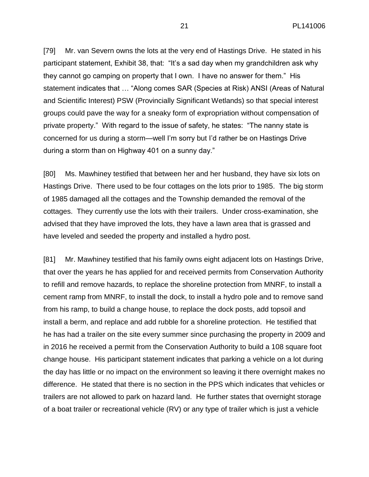[79] Mr. van Severn owns the lots at the very end of Hastings Drive. He stated in his participant statement, Exhibit 38, that: "It's a sad day when my grandchildren ask why they cannot go camping on property that I own. I have no answer for them." His statement indicates that … "Along comes SAR (Species at Risk) ANSI (Areas of Natural and Scientific Interest) PSW (Provincially Significant Wetlands) so that special interest groups could pave the way for a sneaky form of expropriation without compensation of private property." With regard to the issue of safety, he states: "The nanny state is concerned for us during a storm—well I'm sorry but I'd rather be on Hastings Drive during a storm than on Highway 401 on a sunny day."

[80] Ms. Mawhiney testified that between her and her husband, they have six lots on Hastings Drive. There used to be four cottages on the lots prior to 1985. The big storm of 1985 damaged all the cottages and the Township demanded the removal of the cottages. They currently use the lots with their trailers. Under cross-examination, she advised that they have improved the lots, they have a lawn area that is grassed and have leveled and seeded the property and installed a hydro post.

[81] Mr. Mawhiney testified that his family owns eight adjacent lots on Hastings Drive, that over the years he has applied for and received permits from Conservation Authority to refill and remove hazards, to replace the shoreline protection from MNRF, to install a cement ramp from MNRF, to install the dock, to install a hydro pole and to remove sand from his ramp, to build a change house, to replace the dock posts, add topsoil and install a berm, and replace and add rubble for a shoreline protection. He testified that he has had a trailer on the site every summer since purchasing the property in 2009 and in 2016 he received a permit from the Conservation Authority to build a 108 square foot change house. His participant statement indicates that parking a vehicle on a lot during the day has little or no impact on the environment so leaving it there overnight makes no difference. He stated that there is no section in the PPS which indicates that vehicles or trailers are not allowed to park on hazard land. He further states that overnight storage of a boat trailer or recreational vehicle (RV) or any type of trailer which is just a vehicle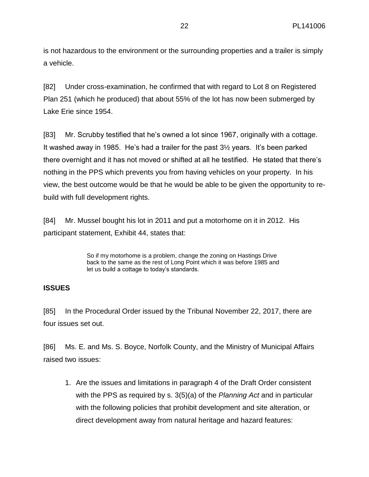is not hazardous to the environment or the surrounding properties and a trailer is simply a vehicle.

[82] Under cross-examination, he confirmed that with regard to Lot 8 on Registered Plan 251 (which he produced) that about 55% of the lot has now been submerged by Lake Erie since 1954.

[83] Mr. Scrubby testified that he's owned a lot since 1967, originally with a cottage. It washed away in 1985. He's had a trailer for the past 3½ years. It's been parked there overnight and it has not moved or shifted at all he testified. He stated that there's nothing in the PPS which prevents you from having vehicles on your property. In his view, the best outcome would be that he would be able to be given the opportunity to rebuild with full development rights.

[84] Mr. Mussel bought his lot in 2011 and put a motorhome on it in 2012. His participant statement, Exhibit 44, states that:

> So if my motorhome is a problem, change the zoning on Hastings Drive back to the same as the rest of Long Point which it was before 1985 and let us build a cottage to today's standards.

## **ISSUES**

[85] In the Procedural Order issued by the Tribunal November 22, 2017, there are four issues set out.

[86] Ms. E. and Ms. S. Boyce, Norfolk County, and the Ministry of Municipal Affairs raised two issues:

1. Are the issues and limitations in paragraph 4 of the Draft Order consistent with the PPS as required by s. 3(5)(a) of the *Planning Act* and in particular with the following policies that prohibit development and site alteration, or direct development away from natural heritage and hazard features: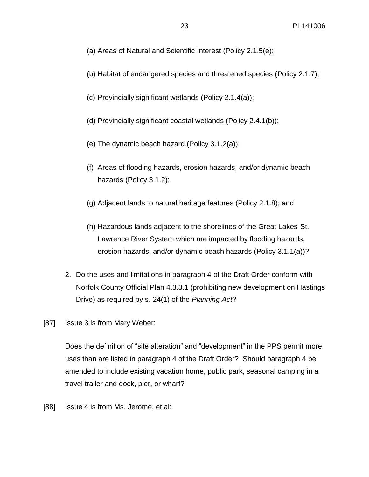- (a) Areas of Natural and Scientific Interest (Policy 2.1.5(e);
- (b) Habitat of endangered species and threatened species (Policy 2.1.7);
- (c) Provincially significant wetlands (Policy 2.1.4(a));
- (d) Provincially significant coastal wetlands (Policy 2.4.1(b));
- (e) The dynamic beach hazard (Policy 3.1.2(a));
- (f) Areas of flooding hazards, erosion hazards, and/or dynamic beach hazards (Policy 3.1.2);
- (g) Adjacent lands to natural heritage features (Policy 2.1.8); and
- (h) Hazardous lands adjacent to the shorelines of the Great Lakes-St. Lawrence River System which are impacted by flooding hazards, erosion hazards, and/or dynamic beach hazards (Policy 3.1.1(a))?
- 2. Do the uses and limitations in paragraph 4 of the Draft Order conform with Norfolk County Official Plan 4.3.3.1 (prohibiting new development on Hastings Drive) as required by s. 24(1) of the *Planning Act*?
- [87] Issue 3 is from Mary Weber:

Does the definition of "site alteration" and "development" in the PPS permit more uses than are listed in paragraph 4 of the Draft Order? Should paragraph 4 be amended to include existing vacation home, public park, seasonal camping in a travel trailer and dock, pier, or wharf?

[88] Issue 4 is from Ms. Jerome, et al: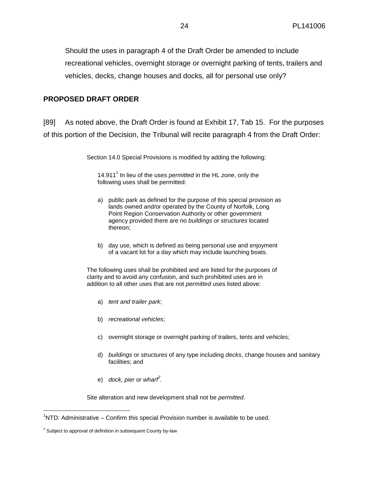Should the uses in paragraph 4 of the Draft Order be amended to include recreational vehicles, overnight storage or overnight parking of tents, trailers and vehicles, decks, change houses and docks, all for personal use only?

## **PROPOSED DRAFT ORDER**

[89] As noted above, the Draft Order is found at Exhibit 17, Tab 15. For the purposes of this portion of the Decision, the Tribunal will recite paragraph 4 from the Draft Order:

Section 14.0 Special Provisions is modified by adding the following:

14.911<sup>1</sup> In lieu of the uses *permitted* in the HL zone, only the following uses shall be permitted:

- a) public park as defined for the purpose of this special provision as lands owned and/or operated by the County of Norfolk, Long Point Region Conservation Authority or other government agency provided there are no *buildings* or *structures* located thereon;
- b) day use, which is defined as being personal use and enjoyment of a vacant lot for a day which may include launching boats.

The following uses shall be prohibited and are listed for the purposes of clarity and to avoid any confusion, and such prohibited uses are in addition to all other uses that are not *permitted* uses listed above:

- a) *tent and trailer park*;
- b) *recreational vehicles*;
- c) overnight storage or overnight parking of trailers, tents and *vehicles*;
- d) *buildings* or *structures* of any type including *decks*, change houses and sanitary facilities; and
- e) *dock, pier or wharf 2* .

Site alteration and new development shall not be *permitted*.

 $\overline{a}$ 

 $1$ NTD: Administrative – Confirm this special Provision number is available to be used.

 $2$  Subject to approval of definition in subsequent County by-law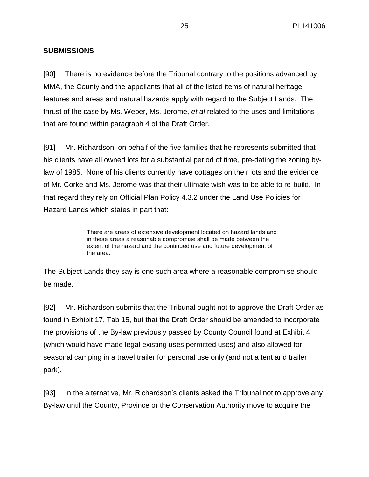# **SUBMISSIONS**

[90] There is no evidence before the Tribunal contrary to the positions advanced by MMA, the County and the appellants that all of the listed items of natural heritage features and areas and natural hazards apply with regard to the Subject Lands. The thrust of the case by Ms. Weber, Ms. Jerome, *et al* related to the uses and limitations that are found within paragraph 4 of the Draft Order.

[91] Mr. Richardson, on behalf of the five families that he represents submitted that his clients have all owned lots for a substantial period of time, pre-dating the zoning bylaw of 1985. None of his clients currently have cottages on their lots and the evidence of Mr. Corke and Ms. Jerome was that their ultimate wish was to be able to re-build. In that regard they rely on Official Plan Policy 4.3.2 under the Land Use Policies for Hazard Lands which states in part that:

> There are areas of extensive development located on hazard lands and in these areas a reasonable compromise shall be made between the extent of the hazard and the continued use and future development of the area.

The Subject Lands they say is one such area where a reasonable compromise should be made.

[92] Mr. Richardson submits that the Tribunal ought not to approve the Draft Order as found in Exhibit 17, Tab 15, but that the Draft Order should be amended to incorporate the provisions of the By-law previously passed by County Council found at Exhibit 4 (which would have made legal existing uses permitted uses) and also allowed for seasonal camping in a travel trailer for personal use only (and not a tent and trailer park).

[93] In the alternative, Mr. Richardson's clients asked the Tribunal not to approve any By-law until the County, Province or the Conservation Authority move to acquire the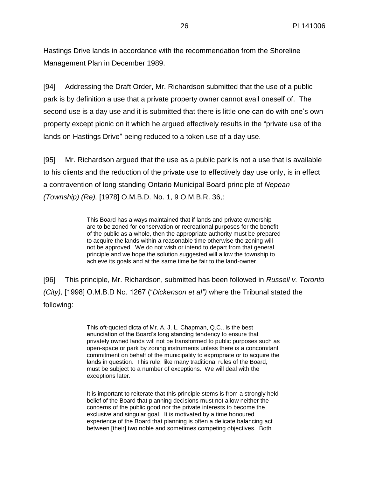Hastings Drive lands in accordance with the recommendation from the Shoreline Management Plan in December 1989.

[94] Addressing the Draft Order, Mr. Richardson submitted that the use of a public park is by definition a use that a private property owner cannot avail oneself of. The second use is a day use and it is submitted that there is little one can do with one's own property except picnic on it which he argued effectively results in the "private use of the lands on Hastings Drive" being reduced to a token use of a day use.

[95] Mr. Richardson argued that the use as a public park is not a use that is available to his clients and the reduction of the private use to effectively day use only, is in effect a contravention of long standing Ontario Municipal Board principle of *Nepean (Township) (Re),* [1978] O.M.B.D. No. 1, 9 O.M.B.R. 36,:

> This Board has always maintained that if lands and private ownership are to be zoned for conservation or recreational purposes for the benefit of the public as a whole, then the appropriate authority must be prepared to acquire the lands within a reasonable time otherwise the zoning will not be approved. We do not wish or intend to depart from that general principle and we hope the solution suggested will allow the township to achieve its goals and at the same time be fair to the land-owner.

[96] This principle, Mr. Richardson, submitted has been followed in *Russell v. Toronto (City),* [1998] O.M.B.D No. 1267 ("*Dickenson et al")* where the Tribunal stated the following:

> This oft-quoted dicta of Mr. A. J. L. Chapman, Q.C., is the best enunciation of the Board's long standing tendency to ensure that privately owned lands will not be transformed to public purposes such as open-space or park by zoning instruments unless there is a concomitant commitment on behalf of the municipality to expropriate or to acquire the lands in question. This rule, like many traditional rules of the Board, must be subject to a number of exceptions. We will deal with the exceptions later.

> It is important to reiterate that this principle stems is from a strongly held belief of the Board that planning decisions must not allow neither the concerns of the public good nor the private interests to become the exclusive and singular goal. It is motivated by a time honoured experience of the Board that planning is often a delicate balancing act between [their] two noble and sometimes competing objectives. Both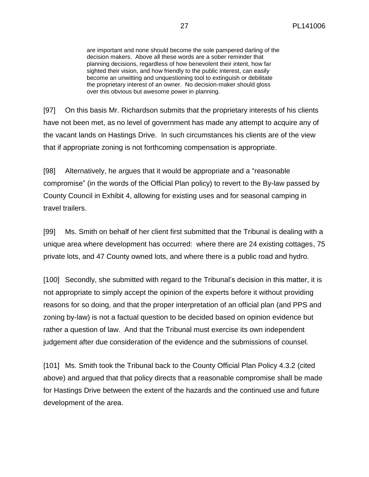are important and none should become the sole pampered darling of the decision makers. Above all these words are a sober reminder that planning decisions, regardless of how benevolent their intent, how far sighted their vision, and how friendly to the public interest, can easily become an unwitting and unquestioning tool to extinguish or debilitate the proprietary interest of an owner. No decision-maker should gloss over this obvious but awesome power in planning.

[97] On this basis Mr. Richardson submits that the proprietary interests of his clients have not been met, as no level of government has made any attempt to acquire any of the vacant lands on Hastings Drive. In such circumstances his clients are of the view that if appropriate zoning is not forthcoming compensation is appropriate.

[98] Alternatively, he argues that it would be appropriate and a "reasonable compromise" (in the words of the Official Plan policy) to revert to the By-law passed by County Council in Exhibit 4, allowing for existing uses and for seasonal camping in travel trailers.

[99] Ms. Smith on behalf of her client first submitted that the Tribunal is dealing with a unique area where development has occurred: where there are 24 existing cottages, 75 private lots, and 47 County owned lots, and where there is a public road and hydro.

[100] Secondly, she submitted with regard to the Tribunal's decision in this matter, it is not appropriate to simply accept the opinion of the experts before it without providing reasons for so doing, and that the proper interpretation of an official plan (and PPS and zoning by-law) is not a factual question to be decided based on opinion evidence but rather a question of law. And that the Tribunal must exercise its own independent judgement after due consideration of the evidence and the submissions of counsel.

[101] Ms. Smith took the Tribunal back to the County Official Plan Policy 4.3.2 (cited above) and argued that that policy directs that a reasonable compromise shall be made for Hastings Drive between the extent of the hazards and the continued use and future development of the area.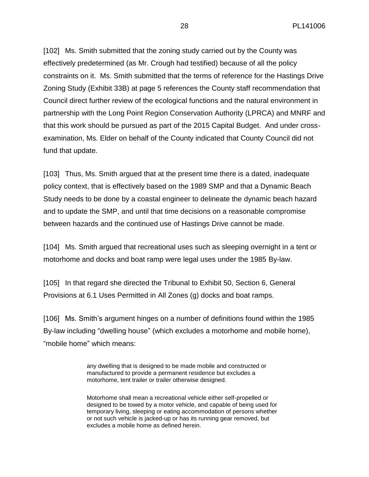[102] Ms. Smith submitted that the zoning study carried out by the County was effectively predetermined (as Mr. Crough had testified) because of all the policy constraints on it. Ms. Smith submitted that the terms of reference for the Hastings Drive Zoning Study (Exhibit 33B) at page 5 references the County staff recommendation that Council direct further review of the ecological functions and the natural environment in partnership with the Long Point Region Conservation Authority (LPRCA) and MNRF and that this work should be pursued as part of the 2015 Capital Budget. And under crossexamination, Ms. Elder on behalf of the County indicated that County Council did not fund that update.

[103] Thus, Ms. Smith argued that at the present time there is a dated, inadequate policy context, that is effectively based on the 1989 SMP and that a Dynamic Beach Study needs to be done by a coastal engineer to delineate the dynamic beach hazard and to update the SMP, and until that time decisions on a reasonable compromise between hazards and the continued use of Hastings Drive cannot be made.

[104] Ms. Smith argued that recreational uses such as sleeping overnight in a tent or motorhome and docks and boat ramp were legal uses under the 1985 By-law.

[105] In that regard she directed the Tribunal to Exhibit 50, Section 6, General Provisions at 6.1 Uses Permitted in All Zones (g) docks and boat ramps.

[106] Ms. Smith's argument hinges on a number of definitions found within the 1985 By-law including "dwelling house" (which excludes a motorhome and mobile home), "mobile home" which means:

> any dwelling that is designed to be made mobile and constructed or manufactured to provide a permanent residence but excludes a motorhome, tent trailer or trailer otherwise designed.

Motorhome shall mean a recreational vehicle either self-propelled or designed to be towed by a motor vehicle, and capable of being used for temporary living, sleeping or eating accommodation of persons whether or not such vehicle is jacked-up or has its running gear removed, but excludes a mobile home as defined herein.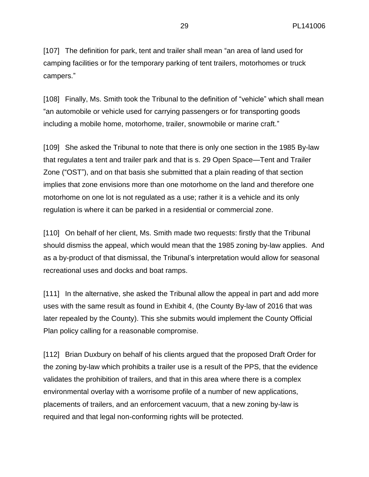[107] The definition for park, tent and trailer shall mean "an area of land used for camping facilities or for the temporary parking of tent trailers, motorhomes or truck campers."

[108] Finally, Ms. Smith took the Tribunal to the definition of "vehicle" which shall mean "an automobile or vehicle used for carrying passengers or for transporting goods including a mobile home, motorhome, trailer, snowmobile or marine craft."

[109] She asked the Tribunal to note that there is only one section in the 1985 By-law that regulates a tent and trailer park and that is s. 29 Open Space—Tent and Trailer Zone ("OST"), and on that basis she submitted that a plain reading of that section implies that zone envisions more than one motorhome on the land and therefore one motorhome on one lot is not regulated as a use; rather it is a vehicle and its only regulation is where it can be parked in a residential or commercial zone.

[110] On behalf of her client, Ms. Smith made two requests: firstly that the Tribunal should dismiss the appeal, which would mean that the 1985 zoning by-law applies. And as a by-product of that dismissal, the Tribunal's interpretation would allow for seasonal recreational uses and docks and boat ramps.

[111] In the alternative, she asked the Tribunal allow the appeal in part and add more uses with the same result as found in Exhibit 4, (the County By-law of 2016 that was later repealed by the County). This she submits would implement the County Official Plan policy calling for a reasonable compromise.

[112] Brian Duxbury on behalf of his clients argued that the proposed Draft Order for the zoning by-law which prohibits a trailer use is a result of the PPS, that the evidence validates the prohibition of trailers, and that in this area where there is a complex environmental overlay with a worrisome profile of a number of new applications, placements of trailers, and an enforcement vacuum, that a new zoning by-law is required and that legal non-conforming rights will be protected.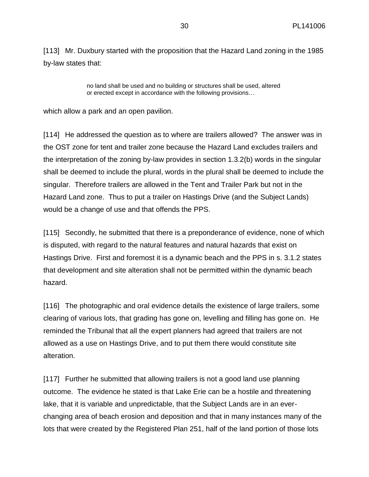[113] Mr. Duxbury started with the proposition that the Hazard Land zoning in the 1985 by-law states that:

> no land shall be used and no building or structures shall be used, altered or erected except in accordance with the following provisions…

which allow a park and an open pavilion.

[114] He addressed the question as to where are trailers allowed? The answer was in the OST zone for tent and trailer zone because the Hazard Land excludes trailers and the interpretation of the zoning by-law provides in section 1.3.2(b) words in the singular shall be deemed to include the plural, words in the plural shall be deemed to include the singular. Therefore trailers are allowed in the Tent and Trailer Park but not in the Hazard Land zone. Thus to put a trailer on Hastings Drive (and the Subject Lands) would be a change of use and that offends the PPS.

[115] Secondly, he submitted that there is a preponderance of evidence, none of which is disputed, with regard to the natural features and natural hazards that exist on Hastings Drive. First and foremost it is a dynamic beach and the PPS in s. 3.1.2 states that development and site alteration shall not be permitted within the dynamic beach hazard.

[116] The photographic and oral evidence details the existence of large trailers, some clearing of various lots, that grading has gone on, levelling and filling has gone on. He reminded the Tribunal that all the expert planners had agreed that trailers are not allowed as a use on Hastings Drive, and to put them there would constitute site alteration.

[117] Further he submitted that allowing trailers is not a good land use planning outcome. The evidence he stated is that Lake Erie can be a hostile and threatening lake, that it is variable and unpredictable, that the Subject Lands are in an everchanging area of beach erosion and deposition and that in many instances many of the lots that were created by the Registered Plan 251, half of the land portion of those lots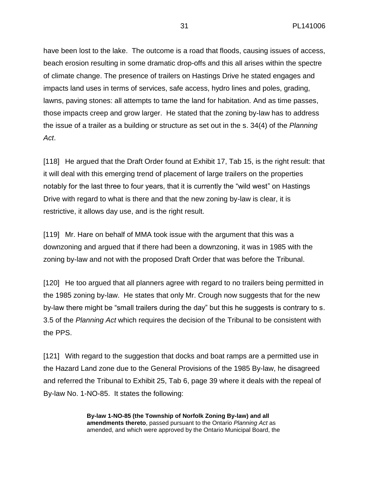have been lost to the lake. The outcome is a road that floods, causing issues of access, beach erosion resulting in some dramatic drop-offs and this all arises within the spectre of climate change. The presence of trailers on Hastings Drive he stated engages and impacts land uses in terms of services, safe access, hydro lines and poles, grading, lawns, paving stones: all attempts to tame the land for habitation. And as time passes, those impacts creep and grow larger. He stated that the zoning by-law has to address the issue of a trailer as a building or structure as set out in the s. 34(4) of the *Planning Act*.

[118] He argued that the Draft Order found at Exhibit 17, Tab 15, is the right result: that it will deal with this emerging trend of placement of large trailers on the properties notably for the last three to four years, that it is currently the "wild west" on Hastings Drive with regard to what is there and that the new zoning by-law is clear, it is restrictive, it allows day use, and is the right result.

[119] Mr. Hare on behalf of MMA took issue with the argument that this was a downzoning and argued that if there had been a downzoning, it was in 1985 with the zoning by-law and not with the proposed Draft Order that was before the Tribunal.

[120] He too argued that all planners agree with regard to no trailers being permitted in the 1985 zoning by-law. He states that only Mr. Crough now suggests that for the new by-law there might be "small trailers during the day" but this he suggests is contrary to s. 3.5 of the *Planning Act* which requires the decision of the Tribunal to be consistent with the PPS.

[121] With regard to the suggestion that docks and boat ramps are a permitted use in the Hazard Land zone due to the General Provisions of the 1985 By-law, he disagreed and referred the Tribunal to Exhibit 25, Tab 6, page 39 where it deals with the repeal of By-law No. 1-NO-85. It states the following:

> **By-law 1-NO-85 (the Township of Norfolk Zoning By-law) and all amendments thereto**, passed pursuant to the Ontario *Planning Act* as amended, and which were approved by the Ontario Municipal Board, the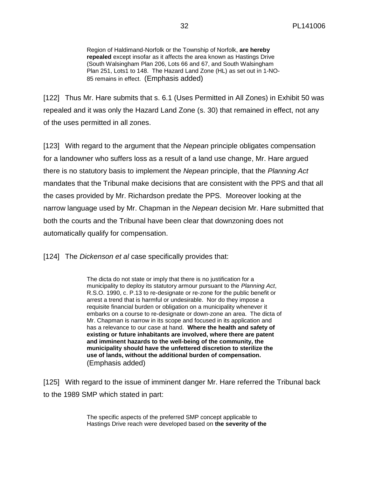Region of Haldimand-Norfolk or the Township of Norfolk, **are hereby repealed** except insofar as it affects the area known as Hastings Drive (South Walsingham Plan 206, Lots 66 and 67, and South Walsingham Plan 251, Lots1 to 148. The Hazard Land Zone (HL) as set out in 1-NO-85 remains in effect. (Emphasis added)

[122] Thus Mr. Hare submits that s. 6.1 (Uses Permitted in All Zones) in Exhibit 50 was repealed and it was only the Hazard Land Zone (s. 30) that remained in effect, not any of the uses permitted in all zones.

[123] With regard to the argument that the *Nepean* principle obligates compensation for a landowner who suffers loss as a result of a land use change, Mr. Hare argued there is no statutory basis to implement the *Nepean* principle, that the *Planning Act* mandates that the Tribunal make decisions that are consistent with the PPS and that all the cases provided by Mr. Richardson predate the PPS. Moreover looking at the narrow language used by Mr. Chapman in the *Nepean* decision Mr. Hare submitted that both the courts and the Tribunal have been clear that downzoning does not automatically qualify for compensation.

[124] The *Dickenson et al* case specifically provides that:

The dicta do not state or imply that there is no justification for a municipality to deploy its statutory armour pursuant to the *Planning Act*, R.S.O. 1990, c. P.13 to re-designate or re-zone for the public benefit or arrest a trend that is harmful or undesirable. Nor do they impose a requisite financial burden or obligation on a municipality whenever it embarks on a course to re-designate or down-zone an area. The dicta of Mr. Chapman is narrow in its scope and focused in its application and has a relevance to our case at hand. **Where the health and safety of existing or future inhabitants are involved, where there are patent and imminent hazards to the well-being of the community, the municipality should have the unfettered discretion to sterilize the use of lands, without the additional burden of compensation.** (Emphasis added)

[125] With regard to the issue of imminent danger Mr. Hare referred the Tribunal back to the 1989 SMP which stated in part:

> The specific aspects of the preferred SMP concept applicable to Hastings Drive reach were developed based on **the severity of the**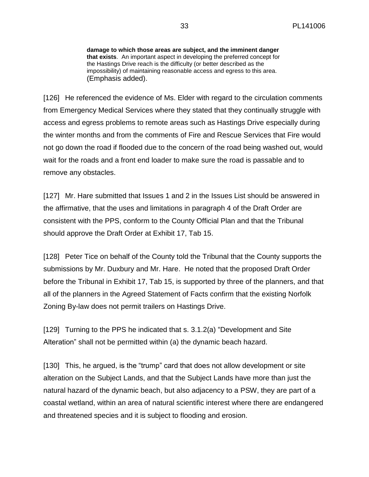**damage to which those areas are subject, and the imminent danger that exists**. An important aspect in developing the preferred concept for the Hastings Drive reach is the difficulty (or better described as the impossibility) of maintaining reasonable access and egress to this area. (Emphasis added).

[126] He referenced the evidence of Ms. Elder with regard to the circulation comments from Emergency Medical Services where they stated that they continually struggle with access and egress problems to remote areas such as Hastings Drive especially during the winter months and from the comments of Fire and Rescue Services that Fire would not go down the road if flooded due to the concern of the road being washed out, would wait for the roads and a front end loader to make sure the road is passable and to remove any obstacles.

[127] Mr. Hare submitted that Issues 1 and 2 in the Issues List should be answered in the affirmative, that the uses and limitations in paragraph 4 of the Draft Order are consistent with the PPS, conform to the County Official Plan and that the Tribunal should approve the Draft Order at Exhibit 17, Tab 15.

[128] Peter Tice on behalf of the County told the Tribunal that the County supports the submissions by Mr. Duxbury and Mr. Hare. He noted that the proposed Draft Order before the Tribunal in Exhibit 17, Tab 15, is supported by three of the planners, and that all of the planners in the Agreed Statement of Facts confirm that the existing Norfolk Zoning By-law does not permit trailers on Hastings Drive.

[129] Turning to the PPS he indicated that s. 3.1.2(a) "Development and Site Alteration" shall not be permitted within (a) the dynamic beach hazard.

[130] This, he argued, is the "trump" card that does not allow development or site alteration on the Subject Lands, and that the Subject Lands have more than just the natural hazard of the dynamic beach, but also adjacency to a PSW, they are part of a coastal wetland, within an area of natural scientific interest where there are endangered and threatened species and it is subject to flooding and erosion.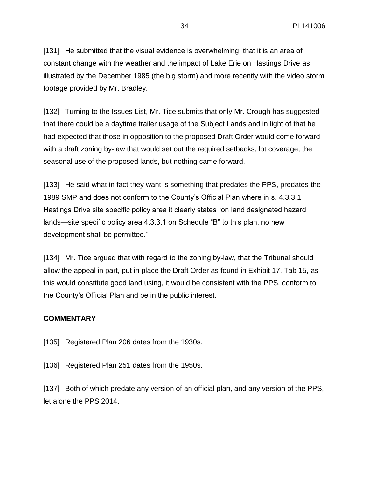[131] He submitted that the visual evidence is overwhelming, that it is an area of constant change with the weather and the impact of Lake Erie on Hastings Drive as illustrated by the December 1985 (the big storm) and more recently with the video storm footage provided by Mr. Bradley.

[132] Turning to the Issues List, Mr. Tice submits that only Mr. Crough has suggested that there could be a daytime trailer usage of the Subject Lands and in light of that he had expected that those in opposition to the proposed Draft Order would come forward with a draft zoning by-law that would set out the required setbacks, lot coverage, the seasonal use of the proposed lands, but nothing came forward.

[133] He said what in fact they want is something that predates the PPS, predates the 1989 SMP and does not conform to the County's Official Plan where in s. 4.3.3.1 Hastings Drive site specific policy area it clearly states "on land designated hazard lands—site specific policy area 4.3.3.1 on Schedule "B" to this plan, no new development shall be permitted."

[134] Mr. Tice argued that with regard to the zoning by-law, that the Tribunal should allow the appeal in part, put in place the Draft Order as found in Exhibit 17, Tab 15, as this would constitute good land using, it would be consistent with the PPS, conform to the County's Official Plan and be in the public interest.

## **COMMENTARY**

- [135] Registered Plan 206 dates from the 1930s.
- [136] Registered Plan 251 dates from the 1950s.

[137] Both of which predate any version of an official plan, and any version of the PPS, let alone the PPS 2014.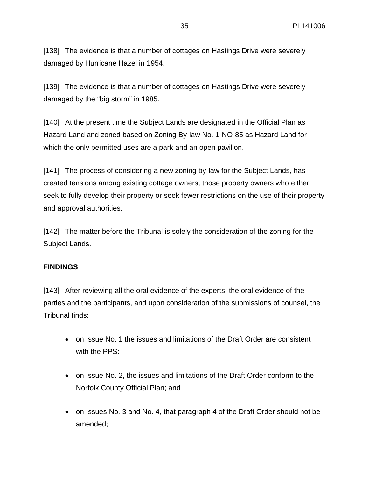[138] The evidence is that a number of cottages on Hastings Drive were severely damaged by Hurricane Hazel in 1954.

[139] The evidence is that a number of cottages on Hastings Drive were severely damaged by the "big storm" in 1985.

[140] At the present time the Subject Lands are designated in the Official Plan as Hazard Land and zoned based on Zoning By-law No. 1-NO-85 as Hazard Land for which the only permitted uses are a park and an open pavilion.

[141] The process of considering a new zoning by-law for the Subject Lands, has created tensions among existing cottage owners, those property owners who either seek to fully develop their property or seek fewer restrictions on the use of their property and approval authorities.

[142] The matter before the Tribunal is solely the consideration of the zoning for the Subject Lands.

# **FINDINGS**

[143] After reviewing all the oral evidence of the experts, the oral evidence of the parties and the participants, and upon consideration of the submissions of counsel, the Tribunal finds:

- on Issue No. 1 the issues and limitations of the Draft Order are consistent with the PPS:
- on Issue No. 2, the issues and limitations of the Draft Order conform to the Norfolk County Official Plan; and
- on Issues No. 3 and No. 4, that paragraph 4 of the Draft Order should not be amended;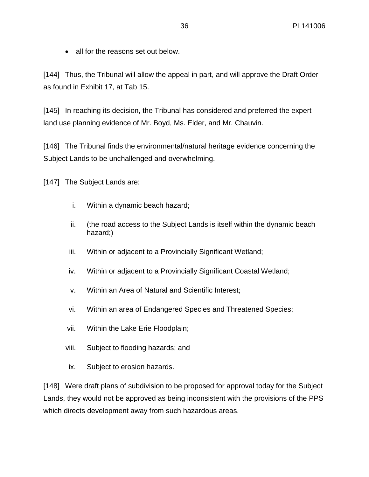• all for the reasons set out below.

[144] Thus, the Tribunal will allow the appeal in part, and will approve the Draft Order as found in Exhibit 17, at Tab 15.

[145] In reaching its decision, the Tribunal has considered and preferred the expert land use planning evidence of Mr. Boyd, Ms. Elder, and Mr. Chauvin.

[146] The Tribunal finds the environmental/natural heritage evidence concerning the Subject Lands to be unchallenged and overwhelming.

[147] The Subject Lands are:

- i. Within a dynamic beach hazard;
- ii. (the road access to the Subject Lands is itself within the dynamic beach hazard;)
- iii. Within or adjacent to a Provincially Significant Wetland;
- iv. Within or adjacent to a Provincially Significant Coastal Wetland;
- v. Within an Area of Natural and Scientific Interest;
- vi. Within an area of Endangered Species and Threatened Species;
- vii. Within the Lake Erie Floodplain;
- viii. Subject to flooding hazards; and
- ix. Subject to erosion hazards.

[148] Were draft plans of subdivision to be proposed for approval today for the Subject Lands, they would not be approved as being inconsistent with the provisions of the PPS which directs development away from such hazardous areas.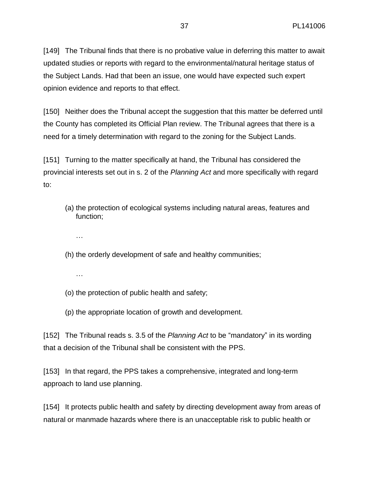[149] The Tribunal finds that there is no probative value in deferring this matter to await updated studies or reports with regard to the environmental/natural heritage status of the Subject Lands. Had that been an issue, one would have expected such expert opinion evidence and reports to that effect.

[150] Neither does the Tribunal accept the suggestion that this matter be deferred until the County has completed its Official Plan review. The Tribunal agrees that there is a need for a timely determination with regard to the zoning for the Subject Lands.

[151] Turning to the matter specifically at hand, the Tribunal has considered the provincial interests set out in s. 2 of the *Planning Act* and more specifically with regard to:

- (a) the protection of ecological systems including natural areas, features and function;
	- …
- (h) the orderly development of safe and healthy communities;
	- …
- (o) the protection of public health and safety;
- (p) the appropriate location of growth and development.

[152] The Tribunal reads s. 3.5 of the *Planning Act* to be "mandatory" in its wording that a decision of the Tribunal shall be consistent with the PPS.

[153] In that regard, the PPS takes a comprehensive, integrated and long-term approach to land use planning.

[154] It protects public health and safety by directing development away from areas of natural or manmade hazards where there is an unacceptable risk to public health or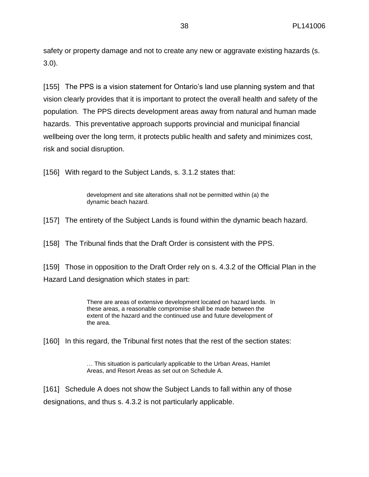safety or property damage and not to create any new or aggravate existing hazards (s. 3.0).

[155] The PPS is a vision statement for Ontario's land use planning system and that vision clearly provides that it is important to protect the overall health and safety of the population. The PPS directs development areas away from natural and human made hazards. This preventative approach supports provincial and municipal financial wellbeing over the long term, it protects public health and safety and minimizes cost, risk and social disruption.

[156] With regard to the Subject Lands, s. 3.1.2 states that:

development and site alterations shall not be permitted within (a) the dynamic beach hazard.

[157] The entirety of the Subject Lands is found within the dynamic beach hazard.

[158] The Tribunal finds that the Draft Order is consistent with the PPS.

[159] Those in opposition to the Draft Order rely on s. 4.3.2 of the Official Plan in the Hazard Land designation which states in part:

> There are areas of extensive development located on hazard lands. In these areas, a reasonable compromise shall be made between the extent of the hazard and the continued use and future development of the area.

[160] In this regard, the Tribunal first notes that the rest of the section states:

… This situation is particularly applicable to the Urban Areas, Hamlet Areas, and Resort Areas as set out on Schedule A.

[161] Schedule A does not show the Subject Lands to fall within any of those designations, and thus s. 4.3.2 is not particularly applicable.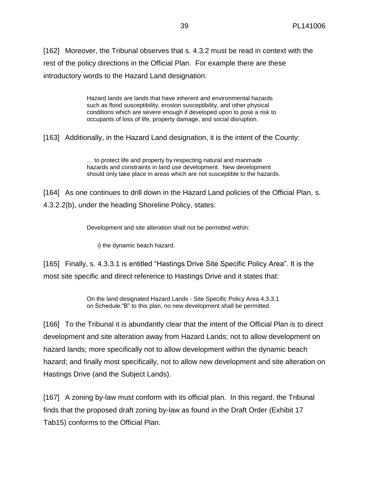[162] Moreover, the Tribunal observes that s. 4.3.2 must be read in context with the rest of the policy directions in the Official Plan. For example there are these introductory words to the Hazard Land designation:

> Hazard lands are lands that have inherent and environmental hazards such as flood susceptibility, erosion susceptibility, and other physical conditions which are severe enough if developed upon to pose a risk to occupants of loss of life, property damage, and social disruption.

[163] Additionally, in the Hazard Land designation, it is the intent of the County:

… to protect life and property by respecting natural and manmade hazards and constraints in land use development. New development should only take place in areas which are not susceptible to the hazards.

[164] As one continues to drill down in the Hazard Land policies of the Official Plan, s. 4.3.2.2(b), under the heading Shoreline Policy, states:

Development and site alteration shall not be permitted within:

i) the dynamic beach hazard.

[165] Finally, s. 4.3.3.1 is entitled "Hastings Drive Site Specific Policy Area". It is the most site specific and direct reference to Hastings Drive and it states that:

> On the land designated Hazard Lands - Site Specific Policy Area 4.3.3.1 on Schedule "B" to this plan, no new development shall be permitted.

[166] To the Tribunal it is abundantly clear that the intent of the Official Plan is to direct development and site alteration away from Hazard Lands; not to allow development on hazard lands; more specifically not to allow development within the dynamic beach hazard; and finally most specifically, not to allow new development and site alteration on Hastings Drive (and the Subject Lands).

[167] A zoning by-law must conform with its official plan. In this regard, the Tribunal finds that the proposed draft zoning by-law as found in the Draft Order (Exhibit 17 Tab15) conforms to the Official Plan.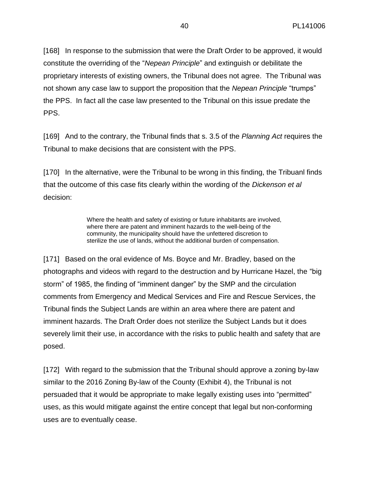[168] In response to the submission that were the Draft Order to be approved, it would constitute the overriding of the "*Nepean Principle*" and extinguish or debilitate the proprietary interests of existing owners, the Tribunal does not agree. The Tribunal was not shown any case law to support the proposition that the *Nepean Principle* "trumps" the PPS. In fact all the case law presented to the Tribunal on this issue predate the PPS.

[169] And to the contrary, the Tribunal finds that s. 3.5 of the *Planning Act* requires the Tribunal to make decisions that are consistent with the PPS.

[170] In the alternative, were the Tribunal to be wrong in this finding, the Tribuanl finds that the outcome of this case fits clearly within the wording of the *Dickenson et al* decision:

> Where the health and safety of existing or future inhabitants are involved, where there are patent and imminent hazards to the well-being of the community, the municipality should have the unfettered discretion to sterilize the use of lands, without the additional burden of compensation.

[171] Based on the oral evidence of Ms. Boyce and Mr. Bradley, based on the photographs and videos with regard to the destruction and by Hurricane Hazel, the "big storm" of 1985, the finding of "imminent danger" by the SMP and the circulation comments from Emergency and Medical Services and Fire and Rescue Services, the Tribunal finds the Subject Lands are within an area where there are patent and imminent hazards. The Draft Order does not sterilize the Subject Lands but it does severely limit their use, in accordance with the risks to public health and safety that are posed.

[172] With regard to the submission that the Tribunal should approve a zoning by-law similar to the 2016 Zoning By-law of the County (Exhibit 4), the Tribunal is not persuaded that it would be appropriate to make legally existing uses into "permitted" uses, as this would mitigate against the entire concept that legal but non-conforming uses are to eventually cease.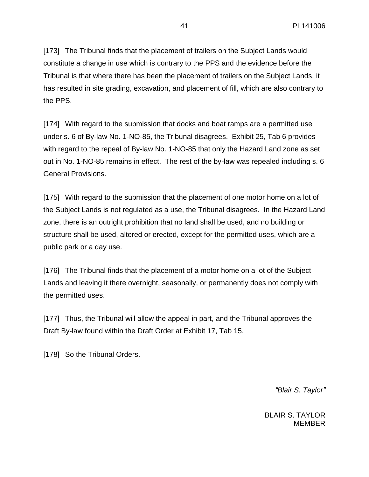[173] The Tribunal finds that the placement of trailers on the Subject Lands would constitute a change in use which is contrary to the PPS and the evidence before the Tribunal is that where there has been the placement of trailers on the Subject Lands, it has resulted in site grading, excavation, and placement of fill, which are also contrary to the PPS.

[174] With regard to the submission that docks and boat ramps are a permitted use under s. 6 of By-law No. 1-NO-85, the Tribunal disagrees. Exhibit 25, Tab 6 provides with regard to the repeal of By-law No. 1-NO-85 that only the Hazard Land zone as set out in No. 1-NO-85 remains in effect. The rest of the by-law was repealed including s. 6 General Provisions.

[175] With regard to the submission that the placement of one motor home on a lot of the Subject Lands is not regulated as a use, the Tribunal disagrees. In the Hazard Land zone, there is an outright prohibition that no land shall be used, and no building or structure shall be used, altered or erected, except for the permitted uses, which are a public park or a day use.

[176] The Tribunal finds that the placement of a motor home on a lot of the Subject Lands and leaving it there overnight, seasonally, or permanently does not comply with the permitted uses.

[177] Thus, the Tribunal will allow the appeal in part, and the Tribunal approves the Draft By-law found within the Draft Order at Exhibit 17, Tab 15.

[178] So the Tribunal Orders.

*"Blair S. Taylor"*

BLAIR S. TAYLOR **MEMBER**